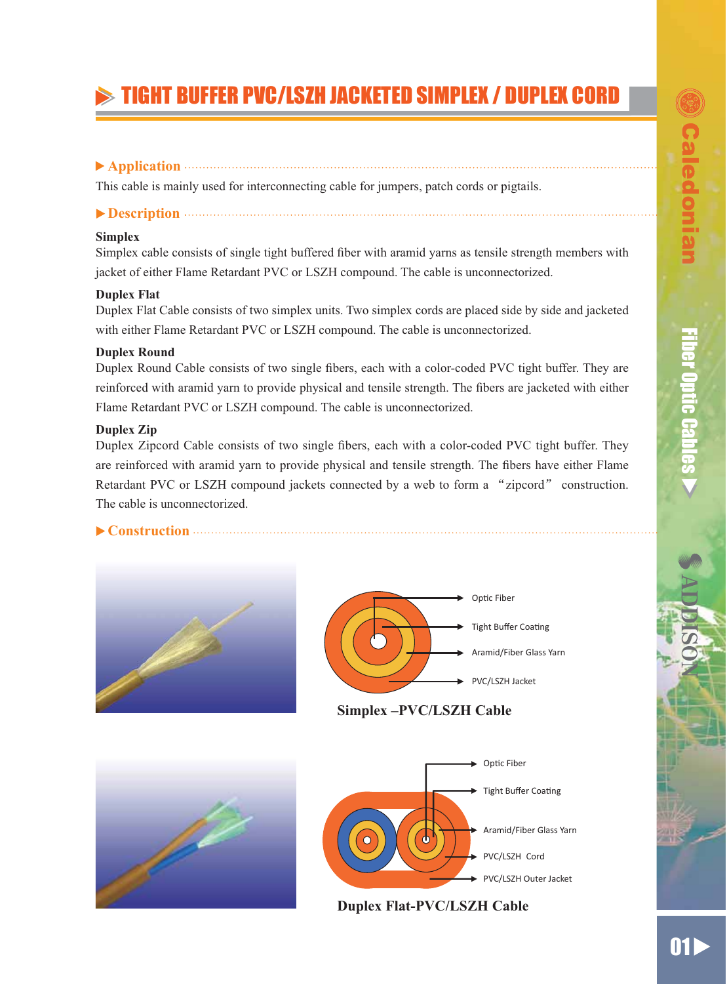# TIGHT BUFFER PVC/LSZH JACKETED SIMPLEX / DUPLEX CORD

# **Application**

This cable is mainly used for interconnecting cable for jumpers, patch cords or pigtails.

## **Description**

### **Simplex**

Simplex cable consists of single tight buffered fiber with aramid varns as tensile strength members with jacket of either Flame Retardant PVC or LSZH compound. The cable is unconnectorized.

### **Duplex Flat**

Duplex Flat Cable consists of two simplex units. Two simplex cords are placed side by side and jacketed with either Flame Retardant PVC or LSZH compound. The cable is unconnectorized.

## **Duplex Round**

Duplex Round Cable consists of two single fibers, each with a color-coded PVC tight buffer. They are reinforced with aramid yarn to provide physical and tensile strength. The fibers are jacketed with either Flame Retardant PVC or LSZH compound. The cable is unconnectorized.

### **Duplex Zip**

Duplex Zipcord Cable consists of two single fibers, each with a color-coded PVC tight buffer. They are reinforced with aramid yarn to provide physical and tensile strength. The fibers have either Flame Retardant PVC or LSZH compound jackets connected by a web to form a "zipcord" construction. The cable is unconnectorized.

## **Construction**

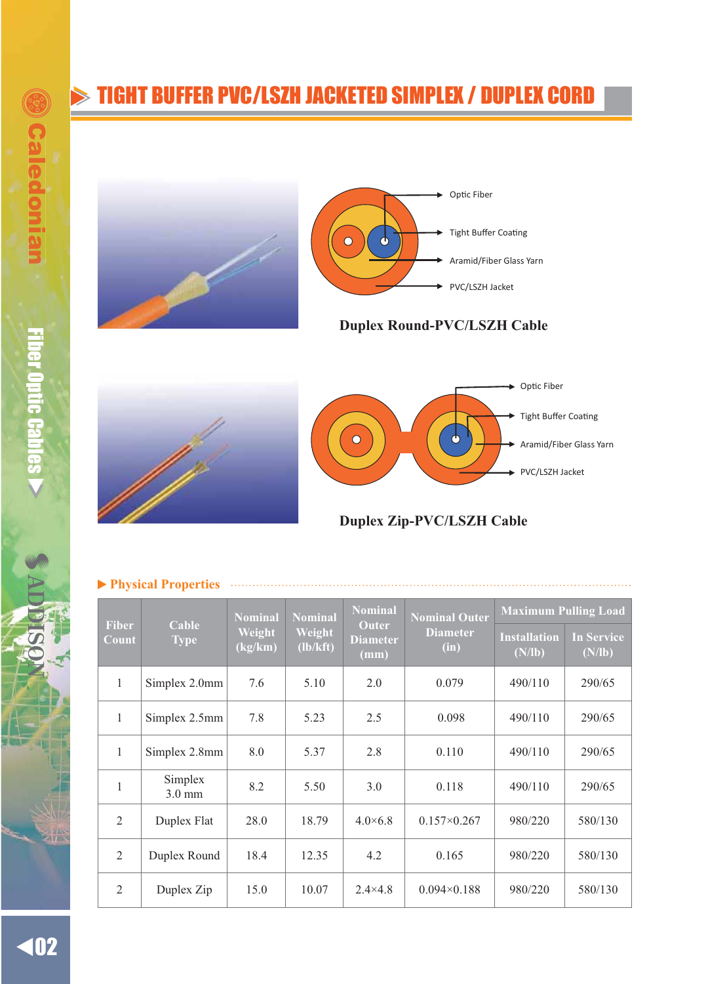# TIGHT BUFFER PVC/LSZH JACKETED SIMPLEX / DUPLEX CORD





**Duplex Round-PVC/LSZH Cable**





**Duplex Zip-PVC/LSZH Cable**

| <b>Fiber</b><br>Count | Cable<br><b>Type</b>        | <b>Nominal</b><br>Weight<br>(kg/km) | Nominal<br>Weight<br>(lb/kft) | <b>Nominal</b><br><b>Outer</b><br><b>Diameter</b><br>(mm) | <b>Nominal Outer</b><br><b>Diameter</b><br>(in) | <b>Maximum Pulling Load</b>   |                             |
|-----------------------|-----------------------------|-------------------------------------|-------------------------------|-----------------------------------------------------------|-------------------------------------------------|-------------------------------|-----------------------------|
|                       |                             |                                     |                               |                                                           |                                                 | <b>Installation</b><br>(N/lb) | <b>In Service</b><br>(N/lb) |
| 1                     | Simplex 2.0mm               | 7.6                                 | 5.10                          | 2.0                                                       | 0.079                                           | 490/110                       | 290/65                      |
| $\mathbf{1}$          | Simplex 2.5mm               | 7.8                                 | 5.23                          | 2.5                                                       | 0.098                                           | 490/110                       | 290/65                      |
| 1                     | Simplex 2.8mm               | 8.0                                 | 5.37                          | 2.8                                                       | 0.110                                           | 490/110                       | 290/65                      |
| 1                     | Simplex<br>$3.0 \text{ mm}$ | 8.2                                 | 5.50                          | 3.0                                                       | 0.118                                           | 490/110                       | 290/65                      |
| $\mathfrak{D}$        | Duplex Flat                 | 28.0                                | 18.79                         | $4.0\times6.8$                                            | $0.157 \times 0.267$                            | 980/220                       | 580/130                     |
| 2                     | Duplex Round                | 18.4                                | 12.35                         | 4.2                                                       | 0.165                                           | 980/220                       | 580/130                     |
| 2                     | Duplex Zip                  | 15.0                                | 10.07                         | $2.4 \times 4.8$                                          | $0.094 \times 0.188$                            | 980/220                       | 580/130                     |

#### **Physical Properties**